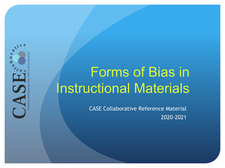

# Forms of Bias in Instructional Materials

CASE Collaborative Reference Material 2020-2021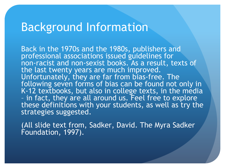#### Background Information

Back in the 1970s and the 1980s, publishers and professional associations issued guidelines for non-racist and non-sexist books. As a result, texts of the last twenty years are much improved. Unfortunately, they are far from bias-free. The following seven forms of bias can be found not only in K-12 textbooks, but also in college texts, in the media – in fact, they are all around us. Feel free to explore these definitions with your students, as well as try the strategies suggested.

(All slide text from, Sadker, David. The Myra Sadker Foundation, 1997).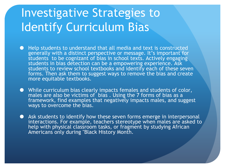#### Investigative Strategies to Identify Curriculum Bias

- Help students to understand that all media and text is constructed generally with a distinct perspective or message. It's important for students to be cognizant of bias in school texts. Actively engaging students in bias detection can be a empowering experience. Ask students to review school textbooks and identify each of these seven forms. Then ask them to suggest ways to remove the bias and create more equitable textbooks.
- ⚫ While curriculum bias clearly impacts females and students of color, males are also be victims of bias . Using the 7 forms of bias as a framework, find examples that negatively impacts males, and suggest ways to overcome the bias.
- ⚫ Ask students to identify how these seven forms emerge in interpersonal interactions. For example, teachers stereotype when males are asked to help with physical classroom tasks, or fragment by studying African Americans only during "Black History Month.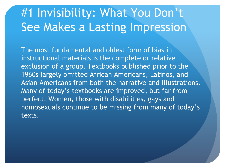### #1 Invisibility: What You Don't See Makes a Lasting Impression

The most fundamental and oldest form of bias in instructional materials is the complete or relative exclusion of a group. Textbooks published prior to the 1960s largely omitted African Americans, Latinos, and Asian Americans from both the narrative and illustrations. Many of today's textbooks are improved, but far from perfect. Women, those with disabilities, gays and homosexuals continue to be missing from many of today's texts.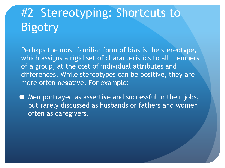## #2 Stereotyping: Shortcuts to **Bigotry**

Perhaps the most familiar form of bias is the stereotype, which assigns a rigid set of characteristics to all members of a group, at the cost of individual attributes and differences. While stereotypes can be positive, they are more often negative. For example:

⚫ Men portrayed as assertive and successful in their jobs, but rarely discussed as husbands or fathers and women often as caregivers.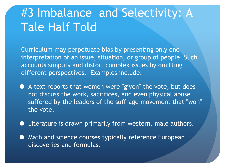### #3 Imbalance and Selectivity: A Tale Half Told

Curriculum may perpetuate bias by presenting only one interpretation of an issue, situation, or group of people. Such accounts simplify and distort complex issues by omitting different perspectives. Examples include:

- ⚫ A text reports that women were "given" the vote, but does not discuss the work, sacrifices, and even physical abuse suffered by the leaders of the suffrage movement that "won" the vote.
- ⚫ Literature is drawn primarily from western, male authors.
- $\bullet$  Math and science courses typically reference European discoveries and formulas.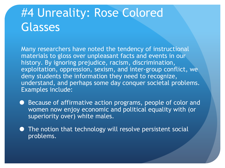#### #4 Unreality: Rose Colored Glasses

Many researchers have noted the tendency of instructional materials to gloss over unpleasant facts and events in our history. By ignoring prejudice, racism, discrimination, exploitation, oppression, sexism, and inter-group conflict, we deny students the information they need to recognize, understand, and perhaps some day conquer societal problems. Examples include:

- Because of affirmative action programs, people of color and women now enjoy economic and political equality with (or superiority over) white males.
- ⚫ The notion that technology will resolve persistent social problems.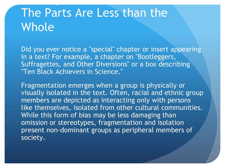#### The Parts Are Less than the Whole

Did you ever notice a "special" chapter or insert appearing in a text? For example, a chapter on "Bootleggers, Suffragettes, and Other Diversions" or a box describing "Ten Black Achievers in Science."

#5 Fragmentation and Isolation:

Fragmentation emerges when a group is physically or visually isolated in the text. Often, racial and ethnic group members are depicted as interacting only with persons like themselves, isolated from other cultural communities. While this form of bias may be less damaging than omission or stereotypes, fragmentation and isolation present non-dominant groups as peripheral members of society.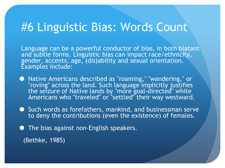#### #6 Linguistic Bias: Words Count

Language can be a powerful conductor of bias, in both blatant and subtle forms. Linguistic bias can impact race/ethnicity, gender, accents, age, (dis)ability and sexual orientation. Examples include:

- Native Americans described as "roaming," "wandering," or "roving" across the land. Such language implicitly justifies the seizure of Native lands by "more goal-directed" white Americans who "traveled" or "settled" their way westward.
- Such words as forefathers, mankind, and businessman serve to deny the contributions (even the existence) of females.
- The bias against non-English speakers.

(Bethke, 1985)